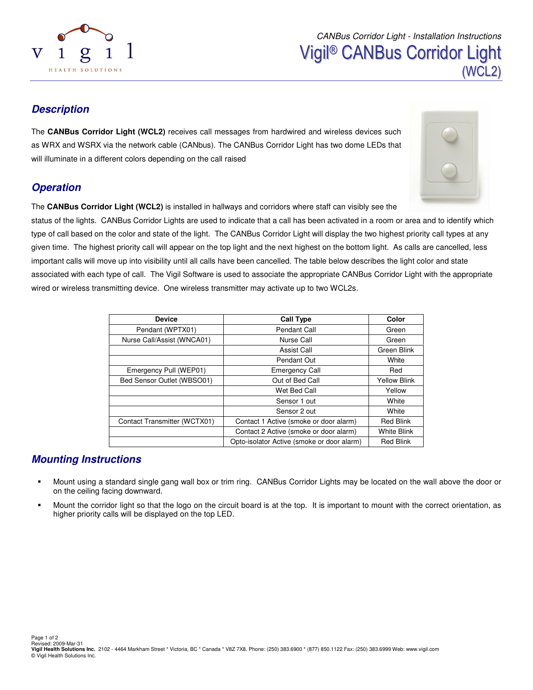

# **Description**

The **CANBus Corridor Light (WCL2)** receives call messages from hardwired and wireless devices such as WRX and WSRX via the network cable (CANbus). The CANBus Corridor Light has two dome LEDs that will illuminate in a different colors depending on the call raised

# **Operation**

The **CANBus Corridor Light (WCL2)** is installed in hallways and corridors where staff can visibly see the

status of the lights. CANBus Corridor Lights are used to indicate that a call has been activated in a room or area and to identify which type of call based on the color and state of the light. The CANBus Corridor Light will display the two highest priority call types at any given time. The highest priority call will appear on the top light and the next highest on the bottom light. As calls are cancelled, less important calls will move up into visibility until all calls have been cancelled. The table below describes the light color and state associated with each type of call. The Vigil Software is used to associate the appropriate CANBus Corridor Light with the appropriate wired or wireless transmitting device. One wireless transmitter may activate up to two WCL2s.

| <b>Device</b>                | <b>Call Type</b>                           | Color               |
|------------------------------|--------------------------------------------|---------------------|
| Pendant (WPTX01)             | Pendant Call                               | Green               |
| Nurse Call/Assist (WNCA01)   | Nurse Call                                 | Green               |
|                              | Assist Call                                | Green Blink         |
|                              | Pendant Out                                | White               |
| Emergency Pull (WEP01)       | <b>Emergency Call</b>                      | Red                 |
| Bed Sensor Outlet (WBSO01)   | Out of Bed Call                            | <b>Yellow Blink</b> |
|                              | Wet Bed Call                               | Yellow              |
|                              | Sensor 1 out                               | White               |
|                              | Sensor 2 out                               | White               |
| Contact Transmitter (WCTX01) | Contact 1 Active (smoke or door alarm)     | <b>Red Blink</b>    |
|                              | Contact 2 Active (smoke or door alarm)     | <b>White Blink</b>  |
|                              | Opto-isolator Active (smoke or door alarm) | <b>Red Blink</b>    |

## **Mounting Instructions**

- Mount using a standard single gang wall box or trim ring. CANBus Corridor Lights may be located on the wall above the door or on the ceiling facing downward.
- Mount the corridor light so that the logo on the circuit board is at the top. It is important to mount with the correct orientation, as higher priority calls will be displayed on the top LED.